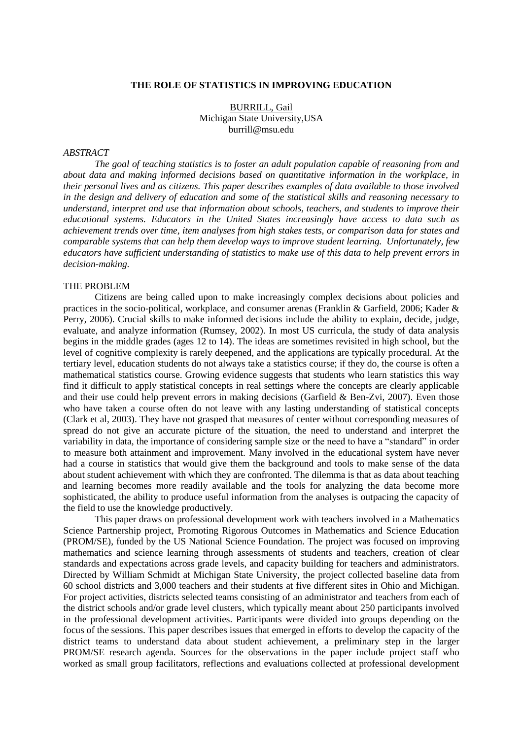#### **THE ROLE OF STATISTICS IN IMPROVING EDUCATION**

BURRILL, Gail Michigan State University,USA burrill@msu.edu

### *ABSTRACT*

*The goal of teaching statistics is to foster an adult population capable of reasoning from and about data and making informed decisions based on quantitative information in the workplace, in their personal lives and as citizens. This paper describes examples of data available to those involved in the design and delivery of education and some of the statistical skills and reasoning necessary to understand, interpret and use that information about schools, teachers, and students to improve their educational systems. Educators in the United States increasingly have access to data such as achievement trends over time, item analyses from high stakes tests, or comparison data for states and comparable systems that can help them develop ways to improve student learning. Unfortunately, few educators have sufficient understanding of statistics to make use of this data to help prevent errors in decision-making.*

## THE PROBLEM

Citizens are being called upon to make increasingly complex decisions about policies and practices in the socio-political, workplace, and consumer arenas (Franklin & Garfield, 2006; Kader & Perry, 2006). Crucial skills to make informed decisions include the ability to explain, decide, judge, evaluate, and analyze information (Rumsey, 2002). In most US curricula, the study of data analysis begins in the middle grades (ages 12 to 14). The ideas are sometimes revisited in high school, but the level of cognitive complexity is rarely deepened, and the applications are typically procedural. At the tertiary level, education students do not always take a statistics course; if they do, the course is often a mathematical statistics course. Growing evidence suggests that students who learn statistics this way find it difficult to apply statistical concepts in real settings where the concepts are clearly applicable and their use could help prevent errors in making decisions (Garfield & Ben-Zvi, 2007). Even those who have taken a course often do not leave with any lasting understanding of statistical concepts (Clark et al, 2003). They have not grasped that measures of center without corresponding measures of spread do not give an accurate picture of the situation, the need to understand and interpret the variability in data, the importance of considering sample size or the need to have a "standard" in order to measure both attainment and improvement. Many involved in the educational system have never had a course in statistics that would give them the background and tools to make sense of the data about student achievement with which they are confronted. The dilemma is that as data about teaching and learning becomes more readily available and the tools for analyzing the data become more sophisticated, the ability to produce useful information from the analyses is outpacing the capacity of the field to use the knowledge productively.

This paper draws on professional development work with teachers involved in a Mathematics Science Partnership project, Promoting Rigorous Outcomes in Mathematics and Science Education (PROM/SE), funded by the US National Science Foundation. The project was focused on improving mathematics and science learning through assessments of students and teachers, creation of clear standards and expectations across grade levels, and capacity building for teachers and administrators. Directed by William Schmidt at Michigan State University, the project collected baseline data from 60 school districts and 3,000 teachers and their students at five different sites in Ohio and Michigan. For project activities, districts selected teams consisting of an administrator and teachers from each of the district schools and/or grade level clusters, which typically meant about 250 participants involved in the professional development activities. Participants were divided into groups depending on the focus of the sessions. This paper describes issues that emerged in efforts to develop the capacity of the district teams to understand data about student achievement, a preliminary step in the larger PROM/SE research agenda. Sources for the observations in the paper include project staff who worked as small group facilitators, reflections and evaluations collected at professional development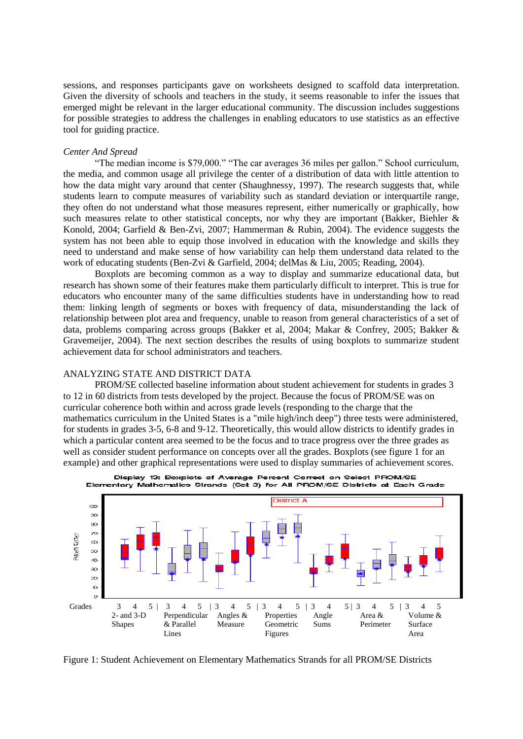sessions, and responses participants gave on worksheets designed to scaffold data interpretation. Given the diversity of schools and teachers in the study, it seems reasonable to infer the issues that emerged might be relevant in the larger educational community. The discussion includes suggestions for possible strategies to address the challenges in enabling educators to use statistics as an effective tool for guiding practice.

## *Center And Spread*

"The median income is \$79,000." "The car averages 36 miles per gallon." School curriculum, the media, and common usage all privilege the center of a distribution of data with little attention to how the data might vary around that center (Shaughnessy, 1997). The research suggests that, while students learn to compute measures of variability such as standard deviation or interquartile range, they often do not understand what those measures represent, either numerically or graphically, how such measures relate to other statistical concepts, nor why they are important (Bakker, Biehler & Konold, 2004; Garfield & Ben-Zvi, 2007; Hammerman & Rubin, 2004). The evidence suggests the system has not been able to equip those involved in education with the knowledge and skills they need to understand and make sense of how variability can help them understand data related to the work of educating students (Ben-Zvi & Garfield, 2004; delMas & Liu, 2005; Reading, 2004).

Boxplots are becoming common as a way to display and summarize educational data, but research has shown some of their features make them particularly difficult to interpret. This is true for educators who encounter many of the same difficulties students have in understanding how to read them: linking length of segments or boxes with frequency of data, misunderstanding the lack of relationship between plot area and frequency, unable to reason from general characteristics of a set of data, problems comparing across groups (Bakker et al, 2004; Makar & Confrey, 2005; Bakker & Gravemeijer, 2004). The next section describes the results of using boxplots to summarize student achievement data for school administrators and teachers.

#### ANALYZING STATE AND DISTRICT DATA

PROM/SE collected baseline information about student achievement for students in grades 3 to 12 in 60 districts from tests developed by the project. Because the focus of PROM/SE was on curricular coherence both within and across grade levels (responding to the charge that the mathematics curriculum in the United States is a "mile high/inch deep") three tests were administered, for students in grades 3-5, 6-8 and 9-12. Theoretically, this would allow districts to identify grades in which a particular content area seemed to be the focus and to trace progress over the three grades as well as consider student performance on concepts over all the grades. Boxplots (see figure 1 for an example) and other graphical representations were used to display summaries of achievement scores.



Display 13: Boxplots of Average Percent Correct on Select PROM/SE Elementary Mathematics Strands (Set 3) for All PROM/SE Districts at Each Grade

Figure 1: Student Achievement on Elementary Mathematics Strands for all PROM/SE Districts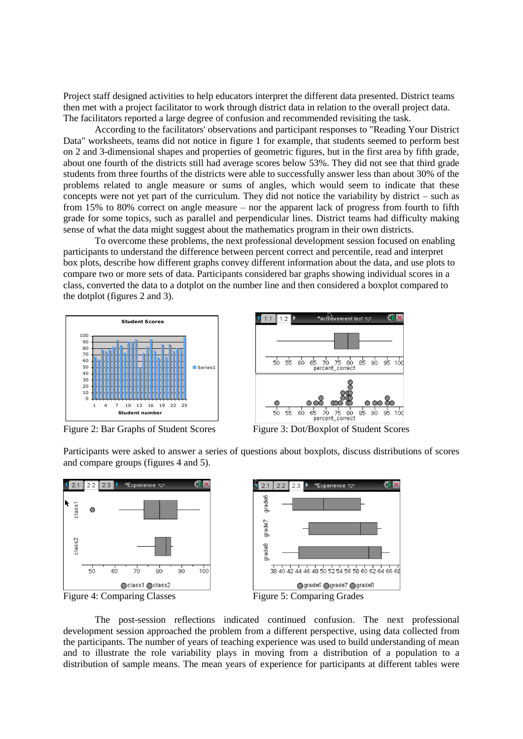Project staff designed activities to help educators interpret the different data presented. District teams then met with a project facilitator to work through district data in relation to the overall project data. The facilitators reported a large degree of confusion and recommended revisiting the task.

According to the facilitators' observations and participant responses to "Reading Your District Data" worksheets, teams did not notice in figure 1 for example, that students seemed to perform best on 2 and 3-dimensional shapes and properties of geometric figures, but in the first area by fifth grade, about one fourth of the districts still had average scores below 53%. They did not see that third grade students from three fourths of the districts were able to successfully answer less than about 30% of the problems related to angle measure or sums of angles, which would seem to indicate that these concepts were not yet part of the curriculum. They did not notice the variability by district – such as from 15% to 80% correct on angle measure – nor the apparent lack of progress from fourth to fifth grade for some topics, such as parallel and perpendicular lines. District teams had difficulty making sense of what the data might suggest about the mathematics program in their own districts.

To overcome these problems, the next professional development session focused on enabling participants to understand the difference between percent correct and percentile, read and interpret box plots, describe how different graphs convey different information about the data, and use plots to compare two or more sets of data. Participants considered bar graphs showing individual scores in a class, converted the data to a dotplot on the number line and then considered a boxplot compared to the dotplot (figures 2 and 3).





Figure 2: Bar Graphs of Student Scores Figure 3: Dot/Boxplot of Student Scores

Participants were asked to answer a series of questions about boxplots, discuss distributions of scores and compare groups (figures 4 and 5).





The post-session reflections indicated continued confusion. The next professional development session approached the problem from a different perspective, using data collected from the participants. The number of years of teaching experience was used to build understanding of mean and to illustrate the role variability plays in moving from a distribution of a population to a distribution of sample means. The mean years of experience for participants at different tables were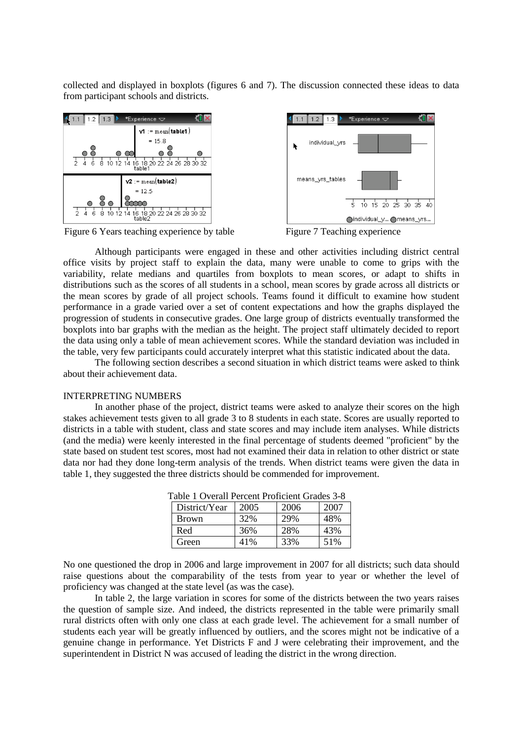collected and displayed in boxplots (figures 6 and 7). The discussion connected these ideas to data from participant schools and districts.





Figure 6 Years teaching experience by table Figure 7 Teaching experience



Although participants were engaged in these and other activities including district central office visits by project staff to explain the data, many were unable to come to grips with the variability, relate medians and quartiles from boxplots to mean scores, or adapt to shifts in distributions such as the scores of all students in a school, mean scores by grade across all districts or the mean scores by grade of all project schools. Teams found it difficult to examine how student performance in a grade varied over a set of content expectations and how the graphs displayed the progression of students in consecutive grades. One large group of districts eventually transformed the boxplots into bar graphs with the median as the height. The project staff ultimately decided to report the data using only a table of mean achievement scores. While the standard deviation was included in the table, very few participants could accurately interpret what this statistic indicated about the data.

The following section describes a second situation in which district teams were asked to think about their achievement data.

#### INTERPRETING NUMBERS

In another phase of the project, district teams were asked to analyze their scores on the high stakes achievement tests given to all grade 3 to 8 students in each state. Scores are usually reported to districts in a table with student, class and state scores and may include item analyses. While districts (and the media) were keenly interested in the final percentage of students deemed "proficient" by the state based on student test scores, most had not examined their data in relation to other district or state data nor had they done long-term analysis of the trends. When district teams were given the data in table 1, they suggested the three districts should be commended for improvement.

| $1000 + 10000$ |      |      |      |  |
|----------------|------|------|------|--|
| District/Year  | 2005 | 2006 | 2007 |  |
| <b>Brown</b>   | 32%  | 29%  | 48%  |  |
| Red            | 36%  | 28%  | 43%  |  |
| Green          | 41%  | 33%  | 51%  |  |

Table 1 Overall Percent Proficient Grades 3-8

No one questioned the drop in 2006 and large improvement in 2007 for all districts; such data should raise questions about the comparability of the tests from year to year or whether the level of proficiency was changed at the state level (as was the case).

In table 2, the large variation in scores for some of the districts between the two years raises the question of sample size. And indeed, the districts represented in the table were primarily small rural districts often with only one class at each grade level. The achievement for a small number of students each year will be greatly influenced by outliers, and the scores might not be indicative of a genuine change in performance. Yet Districts F and J were celebrating their improvement, and the superintendent in District N was accused of leading the district in the wrong direction.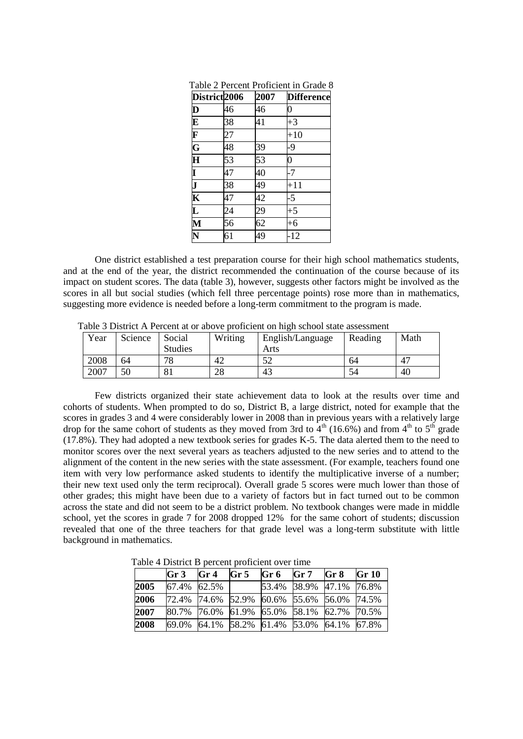| District <sub>2006</sub>                                                                        |    | 2007 | <b>Difference</b> |
|-------------------------------------------------------------------------------------------------|----|------|-------------------|
|                                                                                                 | 46 | 46   | $\overline{0}$    |
| $\frac{\mathbf{D}}{\mathbf{E}}\frac{\mathbf{F}}{\mathbf{F}}$ of $\frac{\mathbf{G}}{\mathbf{H}}$ | 38 | 41   | $+3$              |
|                                                                                                 | 27 |      | $+10$             |
|                                                                                                 | 48 | 39   | -9                |
|                                                                                                 | 53 | 53   | $\overline{0}$    |
| $\frac{\mathbf{I}}{\mathbf{J}}$                                                                 | 47 | 40   | $-7$              |
|                                                                                                 | 38 | 49   | $+11$             |
| $\overline{\mathbf{K}}$                                                                         | 47 | 42   | $-5$              |
| $\overline{\mathbf{L}}$                                                                         | 24 | 29   | $+5$              |
| $\overline{\mathbf{M}}$                                                                         | 56 | 62   | $+6$              |
| $\overline{\textbf{N}}$                                                                         | 61 | 49   | $-12$             |

Table 2 Percent Proficient in Grade 8

One district established a test preparation course for their high school mathematics students, and at the end of the year, the district recommended the continuation of the course because of its impact on student scores. The data (table 3), however, suggests other factors might be involved as the scores in all but social studies (which fell three percentage points) rose more than in mathematics, suggesting more evidence is needed before a long-term commitment to the program is made.

Table 3 District A Percent at or above proficient on high school state assessment

| Year | Science | Social         | Writing | English/Language | Reading | Math |
|------|---------|----------------|---------|------------------|---------|------|
|      |         | <b>Studies</b> |         | Arts             |         |      |
| 2008 | 64      | 78             | 42      | 50<br>ے ر        | 64      | 47   |
| 2007 | 50      | 81             | 28      | 43               | 54      | 40   |

Few districts organized their state achievement data to look at the results over time and cohorts of students. When prompted to do so, District B, a large district, noted for example that the scores in grades 3 and 4 were considerably lower in 2008 than in previous years with a relatively large drop for the same cohort of students as they moved from 3rd to  $4<sup>th</sup>$  (16.6%) and from  $4<sup>th</sup>$  to  $5<sup>th</sup>$  grade (17.8%). They had adopted a new textbook series for grades K-5. The data alerted them to the need to monitor scores over the next several years as teachers adjusted to the new series and to attend to the alignment of the content in the new series with the state assessment. (For example, teachers found one item with very low performance asked students to identify the multiplicative inverse of a number; their new text used only the term reciprocal). Overall grade 5 scores were much lower than those of other grades; this might have been due to a variety of factors but in fact turned out to be common across the state and did not seem to be a district problem. No textbook changes were made in middle school, yet the scores in grade 7 for 2008 dropped 12% for the same cohort of students; discussion revealed that one of the three teachers for that grade level was a long-term substitute with little background in mathematics.

Table 4 District B percent proficient over time

|      | Gr <sub>3</sub> | Gr <sub>4</sub> | Gr <sub>5</sub> | Gr 6                                      | Gr 7 | Gr <sub>8</sub>         | <b>Gr 10</b> |
|------|-----------------|-----------------|-----------------|-------------------------------------------|------|-------------------------|--------------|
| 2005 | 67.4% 62.5%     |                 |                 |                                           |      | 53.4% 38.9% 47.1% 76.8% |              |
| 2006 |                 |                 |                 | 72.4% 74.6% 52.9% 60.6% 55.6% 56.0% 74.5% |      |                         |              |
| 2007 |                 |                 |                 | 80.7% 76.0% 61.9% 65.0% 58.1% 62.7% 70.5% |      |                         |              |
| 2008 | 69.0%           |                 |                 | 64.1% 58.2% 61.4% 53.0% 64.1% 67.8%       |      |                         |              |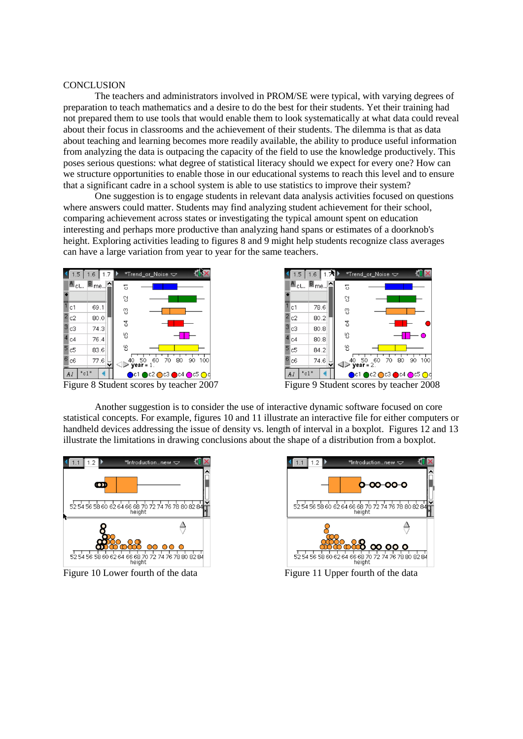## **CONCLUSION**

The teachers and administrators involved in PROM/SE were typical, with varying degrees of preparation to teach mathematics and a desire to do the best for their students. Yet their training had not prepared them to use tools that would enable them to look systematically at what data could reveal about their focus in classrooms and the achievement of their students. The dilemma is that as data about teaching and learning becomes more readily available, the ability to produce useful information from analyzing the data is outpacing the capacity of the field to use the knowledge productively. This poses serious questions: what degree of statistical literacy should we expect for every one? How can we structure opportunities to enable those in our educational systems to reach this level and to ensure that a significant cadre in a school system is able to use statistics to improve their system?

One suggestion is to engage students in relevant data analysis activities focused on questions where answers could matter. Students may find analyzing student achievement for their school, comparing achievement across states or investigating the typical amount spent on education interesting and perhaps more productive than analyzing hand spans or estimates of a doorknob's height. Exploring activities leading to figures 8 and 9 might help students recognize class averages can have a large variation from year to year for the same teachers.





Figure 9 Student scores by teacher 2008

Another suggestion is to consider the use of interactive dynamic software focused on core statistical concepts. For example, figures 10 and 11 illustrate an interactive file for either computers or handheld devices addressing the issue of density vs. length of interval in a boxplot. Figures 12 and 13 illustrate the limitations in drawing conclusions about the shape of a distribution from a boxplot.





Figure 10 Lower fourth of the data Figure 11 Upper fourth of the data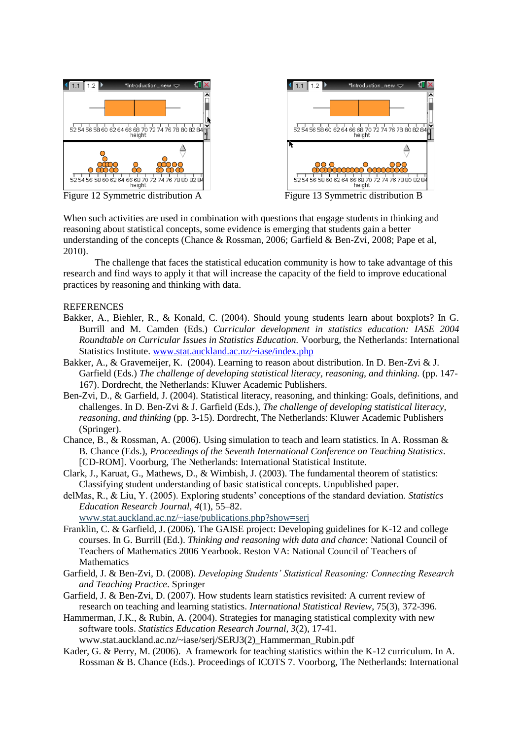



Figure 12 Symmetric distribution A Figure 13 Symmetric distribution B

When such activities are used in combination with questions that engage students in thinking and reasoning about statistical concepts, some evidence is emerging that students gain a better understanding of the concepts (Chance & Rossman, 2006; Garfield & Ben-Zvi, 2008; Pape et al, 2010).

The challenge that faces the statistical education community is how to take advantage of this research and find ways to apply it that will increase the capacity of the field to improve educational practices by reasoning and thinking with data.

# **REFERENCES**

- Bakker, A., Biehler, R., & Konald, C. (2004). Should young students learn about boxplots? In G. Burrill and M. Camden (Eds.) *Curricular development in statistics education: IASE 2004 Roundtable on Curricular Issues in Statistics Education.* Voorburg, the Netherlands: International Statistics Institute. [www.stat.auckland.ac.nz/~iase/index.php](http://www.stat.auckland.ac.nz/~iase/index.php)
- Bakker, A., & Gravemeijer, K. (2004). Learning to reason about distribution. In D. Ben-Zvi & J. Garfield (Eds.) *The challenge of developing statistical literacy, reasoning, and thinking.* (pp. 147- 167). Dordrecht, the Netherlands: Kluwer Academic Publishers.
- Ben-Zvi, D., & Garfield, J. (2004). Statistical literacy, reasoning, and thinking: Goals, definitions, and challenges. In D. Ben-Zvi & J. Garfield (Eds.), *The challenge of developing statistical literacy, reasoning, and thinking* (pp. 3-15). Dordrecht, The Netherlands: Kluwer Academic Publishers (Springer).
- Chance, B., & Rossman, A. (2006). Using simulation to teach and learn statistics. In A. Rossman & B. Chance (Eds.), *Proceedings of the Seventh International Conference on Teaching Statistics*. [CD-ROM]. Voorburg, The Netherlands: International Statistical Institute.
- Clark, J., Karuat, G., Mathews, D., & Wimbish, J. (2003). The fundamental theorem of statistics: Classifying student understanding of basic statistical concepts. Unpublished paper.
- delMas, R., & Liu, Y. (2005). Exploring students' conceptions of the standard deviation. *Statistics Education Research Journal*, *4*(1), 55–82.

```
www.stat.auckland.ac.nz/~iase/publications.php?show=serj
```
- Franklin, C. & Garfield, J. (2006). The GAISE project: Developing guidelines for K-12 and college courses. In G. Burrill (Ed.). *Thinking and reasoning with data and chance*: National Council of Teachers of Mathematics 2006 Yearbook. Reston VA: National Council of Teachers of Mathematics
- Garfield, J. & Ben-Zvi, D. (2008). *Developing Students' Statistical Reasoning: Connecting Research and Teaching Practice*. Springer
- Garfield, J. & Ben-Zvi, D. (2007). How students learn statistics revisited: A current review of research on teaching and learning statistics. *International Statistical Review*, 75(3), 372-396.
- Hammerman, J.K., & Rubin, A. (2004). Strategies for managing statistical complexity with new software tools. *Statistics Education Research Journal, 3*(2), 17-41. www.stat.auckland.ac.nz/~iase/serj/SERJ3(2)\_Hammerman\_Rubin.pdf
- Kader, G. & Perry, M. (2006). A framework for teaching statistics within the K-12 curriculum. In A. Rossman & B. Chance (Eds.). Proceedings of ICOTS 7. Voorborg, The Netherlands: International